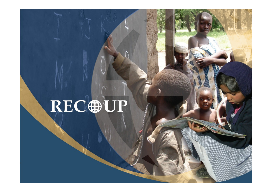# RECOUP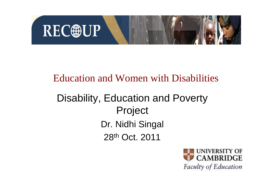

#### Education and Women with Disabilities

### Disability, Education and Poverty Project Dr. Nidhi Singal 28th Oct. 2011

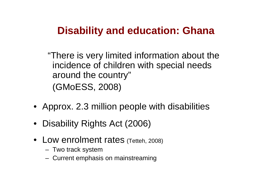### **Disability and education: Ghana**

"There is very limited information about the incidence of children with special needs around the country" (GMoESS, 2008)

- Approx. 2.3 million people with disabilities
- Disability Rights Act (2006)
- Low enrolment rates (Tetteh, 2008)
	- Two track system
	- Current emphasis on mainstreaming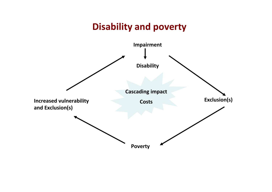#### **Disability and poverty**

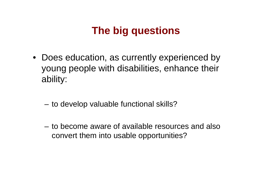### **The big questions**

- Does education, as currently experienced by young people with disabilities, enhance their ability:
	- to develop valuable functional skills?
	- to become aware of available resources and also convert them into usable opportunities?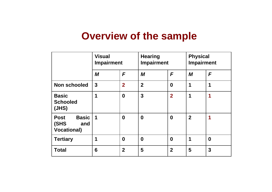### **Overview of the sample**

|                                                                  | <b>Visual</b><br><b>Impairment</b> |                  | <b>Hearing</b><br><b>Impairment</b> |                  | <b>Physical</b><br><b>Impairment</b> |                         |
|------------------------------------------------------------------|------------------------------------|------------------|-------------------------------------|------------------|--------------------------------------|-------------------------|
|                                                                  | M                                  | F                | M                                   | F                | M                                    | F                       |
| <b>Non schooled</b>                                              | $\mathbf{3}$                       | $\overline{2}$   | $\overline{2}$                      | $\boldsymbol{0}$ | 1                                    | 1                       |
| <b>Basic</b><br><b>Schooled</b><br>(JHS)                         | 1                                  | $\boldsymbol{0}$ | $\mathbf{3}$                        | $\overline{2}$   | 1                                    | 1                       |
| <b>Basic</b><br><b>Post</b><br>(SHS<br>and<br><b>Vocational)</b> | 1                                  | $\bf{0}$         | $\boldsymbol{0}$                    | $\bf{0}$         | $\overline{2}$                       | 1                       |
| <b>Tertiary</b>                                                  | 1                                  | $\bf{0}$         | $\bf{0}$                            | $\boldsymbol{0}$ | 1                                    | $\boldsymbol{0}$        |
| <b>Total</b>                                                     | 6                                  | $\overline{2}$   | 5                                   | $\overline{2}$   | 5                                    | $\overline{\mathbf{3}}$ |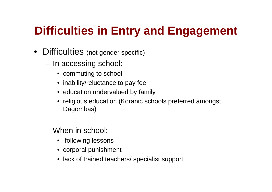# **Difficulties in Entry and Engagement**

- Difficulties (not gender specific)
	- In accessing school:
		- commuting to school
		- inability/reluctance to pay fee
		- education undervalued by family
		- religious education (Koranic schools preferred amongst Dagombas)
	- When in school:
		- following lessons
		- corporal punishment
		- lack of trained teachers/ specialist support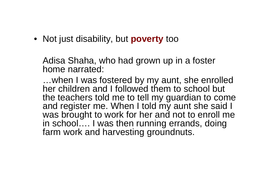• Not just disability, but **poverty** too

Adisa Shaha, who had grown up in a foster home narrated:

…when I was fostered by my aunt, she enrolled her children and I followed them to school but the teachers told me to tell my guardian to come and register me. When I told my aunt she said I was brought to work for her and not to enroll me in school…. I was then running errands, doing farm work and harvesting groundnuts.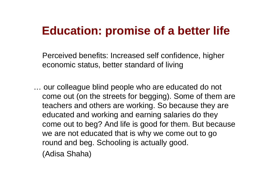# **Education: promise of a better life**

Perceived benefits: Increased self confidence, higher economic status, better standard of living

… our colleague blind people who are educated do not come out (on the streets for begging). Some of them are teachers and others are working. So because they are educated and working and earning salaries do they come out to beg? And life is good for them. But because we are not educated that is why we come out to go round and beg. Schooling is actually good. (Adisa Shaha)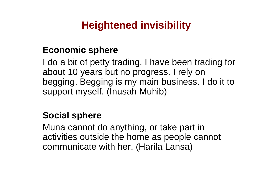### **Heightened invisibility**

#### **Economic sphere**

I do a bit of petty trading, I have been trading for about 10 years but no progress. I rely on begging. Begging is my main business. I do it to support myself. (Inusah Muhib)

#### **Social sphere**

Muna cannot do anything, or take part in activities outside the home as people cannot communicate with her. (Harila Lansa)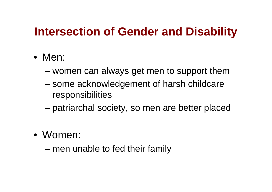# **Intersection of Gender and Disability**

- Men:
	- women can always get men to support them
	- some acknowledgement of harsh childcare responsibilities
	- patriarchal society, so men are better placed
- Women:

– men unable to fed their family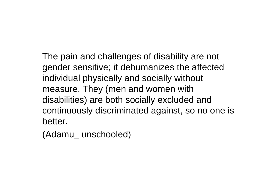The pain and challenges of disability are not gender sensitive; it dehumanizes the affected individual physically and socially without measure. They (men and women with disabilities) are both socially excluded and continuously discriminated against, so no one is better.

(Adamu\_ unschooled)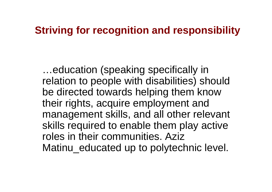### **Striving for recognition and responsibility**

…education (speaking specifically in relation to people with disabilities) should be directed towards helping them know their rights, acquire employment and management skills, and all other relevant skills required to enable them play active roles in their communities. Aziz Matinu educated up to polytechnic level.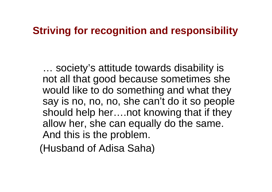### **Striving for recognition and responsibility**

… society's attitude towards disability is not all that good because sometimes she would like to do something and what they say is no, no, no, she can't do it so people should help her….not knowing that if they allow her, she can equally do the same. And this is the problem.

(Husband of Adisa Saha)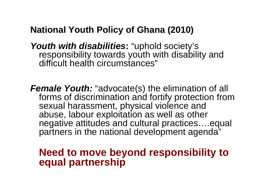#### **National Youth Policy of Ghana (2010)**

*Youth with disabilities***:** "uphold society's responsibility towards youth with disability and difficult health circumstances"

*Female Youth: "advocate(s) the elimination of all* forms of discrimination and fortify protection from sexual harassment, physical violence and abuse, labour exploitation as well as other negative attitudes and cultural practices….equal partners in the national development agenda"

#### **Need to move beyond responsibility to equal partnership**